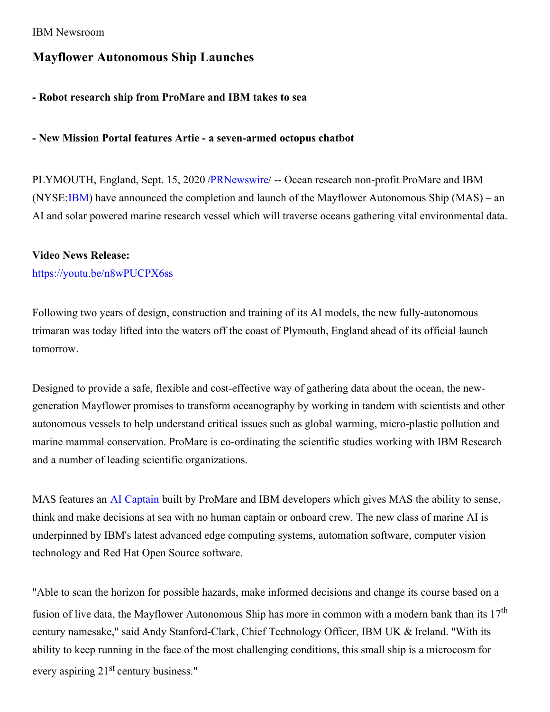#### IBM Newsroom

# **Mayflower Autonomous Ship Launches**

## **- Robot research ship from ProMare and IBM takes to sea**

#### **- New Mission Portal features Artie - a seven-armed octopus chatbot**

PLYMOUTH, England, Sept. 15, 2020 [/PRNewswire](http://www.prnewswire.com/)/ -- Ocean research non-profit ProMare and IBM (NYSE[:IBM](https://c212.net/c/link/?t=0&l=en&o=2917727-1&h=4184391894&u=http%3A%2F%2Fwww.ibm.com%2Finvestor&a=IBM)) have announced the completion and launch of the Mayflower Autonomous Ship (MAS) – an AI and solar powered marine research vessel which will traverse oceans gathering vital environmental data.

#### **Video News Release:**

#### [https://youtu.be/n8wPUCPX6ss](https://c212.net/c/link/?t=0&l=en&o=2917727-1&h=727309617&u=https%3A%2F%2Fyoutu.be%2Fn8wPUCPX6ss&a=https%3A%2F%2Fyoutu.be%2Fn8wPUCPX6ss)

Following two years of design, construction and training of its AI models, the new fully-autonomous trimaran was today lifted into the waters off the coast of Plymouth, England ahead of its official launch tomorrow.

Designed to provide a safe, flexible and cost-effective way of gathering data about the ocean, the newgeneration Mayflower promises to transform oceanography by working in tandem with scientists and other autonomous vessels to help understand critical issues such as global warming, micro-plastic pollution and marine mammal conservation. ProMare is co-ordinating the scientific studies working with IBM Research and a number of leading scientific organizations.

MAS features an AI [Captain](https://c212.net/c/link/?t=0&l=en&o=2917727-1&h=3055694748&u=https%3A%2F%2Fnewsroom.ibm.com%2F2020-03-05-Sea-Trials-Begin-for-Mayflower-Autonomous-Ships-AI-Captain&a=AI+Captain) built by ProMare and IBM developers which gives MAS the ability to sense, think and make decisions at sea with no human captain or onboard crew. The new class of marine AI is underpinned by IBM's latest advanced edge computing systems, automation software, computer vision technology and Red Hat Open Source software.

"Able to scan the horizon for possible hazards, make informed decisions and change its course based on a fusion of live data, the Mayflower Autonomous Ship has more in common with a modern bank than its 17<sup>th</sup> century namesake," said Andy Stanford-Clark, Chief Technology Officer, IBM UK & Ireland. "With its ability to keep running in the face of the most challenging conditions, this small ship is a microcosm for every aspiring 21<sup>st</sup> century business."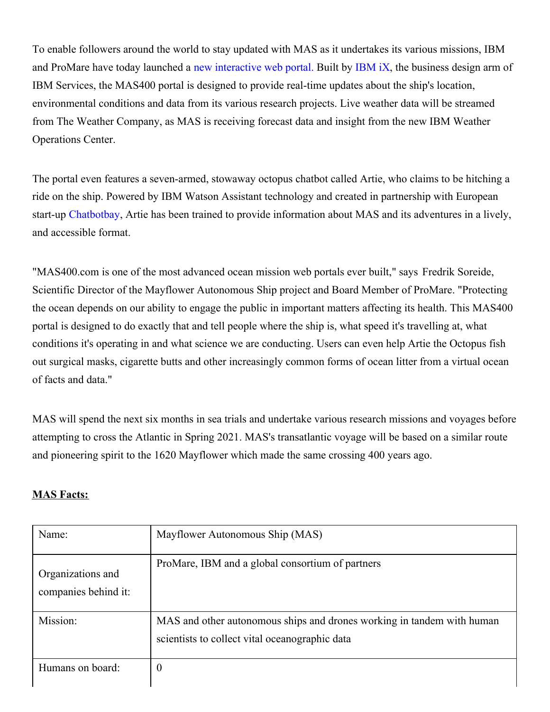To enable followers around the world to stay updated with MAS as it undertakes its various missions, IBM and ProMare have today launched a new [interactive](https://c212.net/c/link/?t=0&l=en&o=2917727-1&h=3003911050&u=https%3A%2F%2Fmas400.com%2F&a=new+interactive+web+portal.) web portal. Built by [IBM](https://c212.net/c/link/?t=0&l=en&o=2917727-1&h=1341785037&u=https%3A%2F%2Fwww.ibm.com%2Fservices%2Fibmix%2F&a=IBM+iX) iX, the business design arm of IBM Services, the MAS400 portal is designed to provide real-time updates about the ship's location, environmental conditions and data from its various research projects. Live weather data will be streamed from The Weather Company, as MAS is receiving forecast data and insight from the new IBM Weather Operations Center.

The portal even features a seven-armed, stowaway octopus chatbot called Artie, who claims to be hitching a ride on the ship. Powered by IBM Watson Assistant technology and created in partnership with European start-up [Chatbotbay](https://c212.net/c/link/?t=0&l=en&o=2917727-1&h=1364412341&u=https%3A%2F%2Fchatbotbay.com%2F&a=Chatbotbay), Artie has been trained to provide information about MAS and its adventures in a lively, and accessible format.

"MAS400.com is one of the most advanced ocean mission web portals ever built," says Fredrik Soreide, Scientific Director of the Mayflower Autonomous Ship project and Board Member of ProMare. "Protecting the ocean depends on our ability to engage the public in important matters affecting its health. This MAS400 portal is designed to do exactly that and tell people where the ship is, what speed it's travelling at, what conditions it's operating in and what science we are conducting. Users can even help Artie the Octopus fish out surgical masks, cigarette butts and other increasingly common forms of ocean litter from a virtual ocean of facts and data."

MAS will spend the next six months in sea trials and undertake various research missions and voyages before attempting to cross the Atlantic in Spring 2021. MAS's transatlantic voyage will be based on a similar route and pioneering spirit to the 1620 Mayflower which made the same crossing 400 years ago.

## **MAS Facts:**

| Name:                                     | Mayflower Autonomous Ship (MAS)                                                                                          |
|-------------------------------------------|--------------------------------------------------------------------------------------------------------------------------|
| Organizations and<br>companies behind it: | ProMare, IBM and a global consortium of partners                                                                         |
| Mission:                                  | MAS and other autonomous ships and drones working in tandem with human<br>scientists to collect vital oceanographic data |
| Humans on board:                          | $\boldsymbol{0}$                                                                                                         |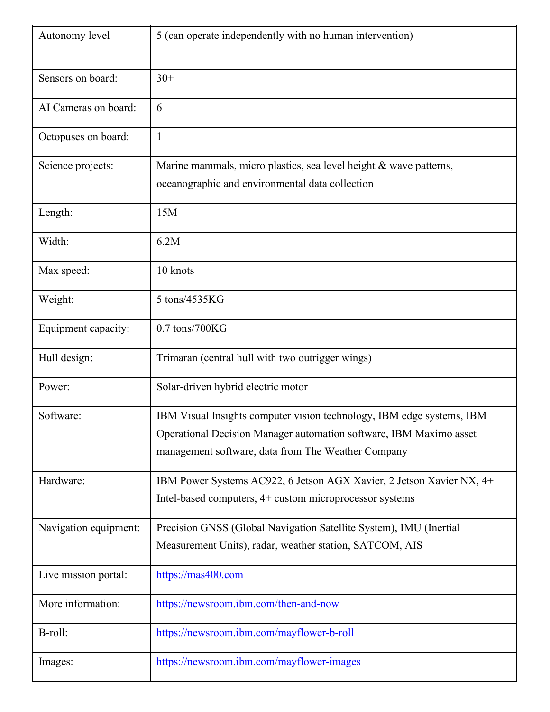| Autonomy level        | 5 (can operate independently with no human intervention)                                                                                                                                          |
|-----------------------|---------------------------------------------------------------------------------------------------------------------------------------------------------------------------------------------------|
| Sensors on board:     | $30+$                                                                                                                                                                                             |
| AI Cameras on board:  | 6                                                                                                                                                                                                 |
| Octopuses on board:   | $\mathbf{1}$                                                                                                                                                                                      |
| Science projects:     | Marine mammals, micro plastics, sea level height & wave patterns,<br>oceanographic and environmental data collection                                                                              |
| Length:               | 15M                                                                                                                                                                                               |
| Width:                | 6.2M                                                                                                                                                                                              |
| Max speed:            | 10 knots                                                                                                                                                                                          |
| Weight:               | 5 tons/4535KG                                                                                                                                                                                     |
| Equipment capacity:   | $0.7$ tons/700KG                                                                                                                                                                                  |
| Hull design:          | Trimaran (central hull with two outrigger wings)                                                                                                                                                  |
| Power:                | Solar-driven hybrid electric motor                                                                                                                                                                |
| Software:             | IBM Visual Insights computer vision technology, IBM edge systems, IBM<br>Operational Decision Manager automation software, IBM Maximo asset<br>management software, data from The Weather Company |
| Hardware:             | IBM Power Systems AC922, 6 Jetson AGX Xavier, 2 Jetson Xavier NX, 4+<br>Intel-based computers, 4+ custom microprocessor systems                                                                   |
| Navigation equipment: | Precision GNSS (Global Navigation Satellite System), IMU (Inertial<br>Measurement Units), radar, weather station, SATCOM, AIS                                                                     |
| Live mission portal:  | https://mas400.com                                                                                                                                                                                |
| More information:     | https://newsroom.ibm.com/then-and-now                                                                                                                                                             |
| B-roll:               | https://newsroom.ibm.com/mayflower-b-roll                                                                                                                                                         |
| Images:               | https://newsroom.ibm.com/mayflower-images                                                                                                                                                         |